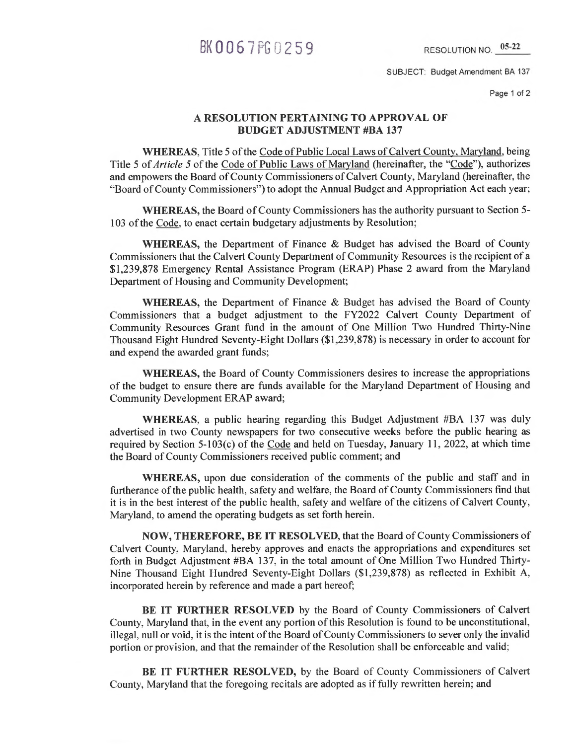## BK 0067 PG 0259 RESOLUTION NO. 05-22

SUBJECT: Budget Amendment BA 137

Page 1 of 2

#### **A RESOLUTION PERTAINING TO APPROVAL OF BUDGET ADJUSTMENT #BA 137**

**WHEREAS,** Title 5 of the Code of Public Local Laws of Calvert County, Maryland, being Title 5 of *Article 5* of the Code of Public Laws of Maryland (hereinafter, the "Code"), authorizes and empowers the Board of County Commissioners of Calvert County, Maryland (hereinafter, the "Board of County Commissioners") to adopt the Annual Budget and Appropriation Act each year;

**WHEREAS,** the Board of County Commissioners has the authority pursuant to Section 5- 103 of the Code, to enact certain budgetary adjustments by Resolution;

WHEREAS, the Department of Finance & Budget has advised the Board of County Commissioners that the Calvert County Department of Community Resources is the recipient of a \$1,239,878 Emergency Rental Assistance Program (ERAP) Phase 2 award from the Maryland Department of Housing and Community Development;

**WHEREAS,** the Department of Finance & Budget has advised the Board of County Commissioners that a budget adjustment to the FY2022 Calvert County Department of Community Resources Grant fund in the amount of One Million Two Hundred Thirty-Nine Thousand Eight Hundred Seventy-Eight Dollars (\$1,239,878) is necessary in order to account for and expend the awarded grant funds;

**WHEREAS,** the Board of County Commissioners desires to increase the appropriations of the budget to ensure there are funds available for the Maryland Department of Housing and Community Development ERAP award;

**WHEREAS,** a public hearing regarding this Budget Adjustment #BA 137 was duly advertised in two County newspapers for two consecutive weeks before the public hearing as required by Section 5-103(c) of the Code and held on Tuesday, January 11, 2022, at which time the Board of County Commissioners received public comment; and

**WHEREAS,** upon due consideration of the comments of the public and staff and in furtherance of the public health, safety and welfare, the Board of County Commissioners find that it is in the best interest of the public health, safety and welfare of the citizens of Calvert County, Maryland, to amend the operating budgets as set forth herein.

**NOW, THEREFORE, BE IT RESOLVED,** that the Board of County Commissioners of Calvert County, Maryland, hereby approves and enacts the appropriations and expenditures set forth in Budget Adjustment #BA 137, in the total amount of One Million Two Hundred Thirty-Nine Thousand Eight Hundred Seventy-Eight Dollars (\$1,239,878) as reflected in Exhibit A, incorporated herein by reference and made a part hereof;

**BE IT FURTHER RESOLVED** by the Board of County Commissioners of Calvert County, Maryland that, in the event any portion of this Resolution is found to be unconstitutional, illegal, null or void, it is the intent of the Board of County Commissioners to sever only the invalid portion or provision, and that the remainder of the Resolution shall be enforceable and valid;

**BE IT FURTHER RESOLVED,** by the Board of County Commissioners of Calvert County, Maryland that the foregoing recitals are adopted as if fully rewritten herein; and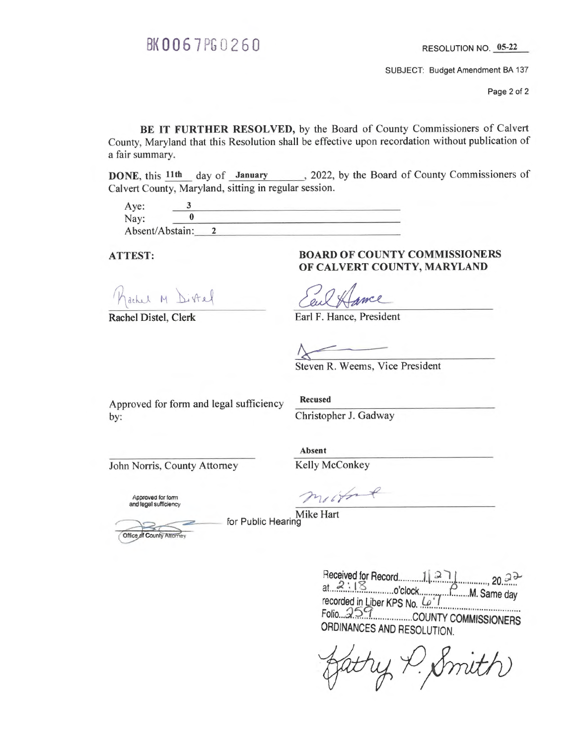# BK 0067 PG 0260 RESOLUTION NO. 05-22

SUBJECT: Budget Amendment BA 137

Page 2 of 2

BE IT FURTHER RESOLVED, by the Board of County Commissioners of Calvert County, Maryland that this Resolution shall be effective upon recordation without publication of a fair summary.

DONE, this 11th day of January , 2022, by the Board of County Commissioners of Calvert County, Maryland, sitting in regular session.

| Aye:            |  |
|-----------------|--|
| Nay:            |  |
| Absent/Abstain: |  |

lachel M Distel

### ATTEST: BOARD OF COUNTY COMMISSIONERS OF CALVERT COUNTY, MARYLAND

mel

Rachel Distel, Clerk Earl F. Hance, President

Steven R. Weems, Vice President

Approved for form and legal sufficiency Recused by: Christopher J. Gadway

John Norris, County Attorney Kelly McConkey

Absent

Approved for form and legal sufficiency

mother

Mike Hart for Public Hearing

Office of County Attorney

 $\text{Heceived for Record}$   $11.2.1$   $2.1$   $2.2$   $2.2$ at 2:18 o'clock P M. Same day<br>recorded in Liber KPS No. Cu 1 recorded in Liber KPS No. (e<sup>1</sup><br>Folio 95c. COUNTY COMMISSIONERS<br>ORDINANCES AND RESOLUTION.

atry P. Smith